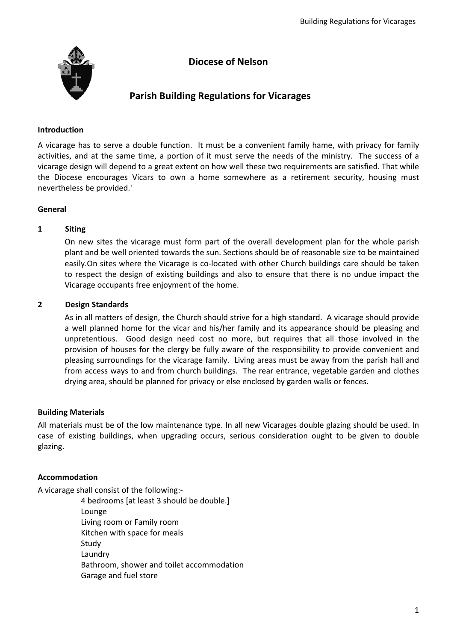

# **Diocese of Nelson**

# **Parish Building Regulations for Vicarages**

## **Introduction**

A vicarage has to serve a double function. It must be a convenient family hame, with privacy for family activities, and at the same time, a portion of it must serve the needs of the ministry. The success of a vicarage design will depend to a great extent on how well these two requirements are satisfied. That while the Diocese encourages Vicars to own a home somewhere as a retirement security, housing must nevertheless be provided.'

## **General**

# **1 Siting**

On new sites the vicarage must form part of the overall development plan for the whole parish plant and be well oriented towards the sun. Sections should be of reasonable size to be maintained easily.On sites where the Vicarage is co-located with other Church buildings care should be taken to respect the design of existing buildings and also to ensure that there is no undue impact the Vicarage occupants free enjoyment of the home.

# **2 Design Standards**

As in all matters of design, the Church should strive for a high standard. A vicarage should provide a well planned home for the vicar and his/her family and its appearance should be pleasing and unpretentious. Good design need cost no more, but requires that all those involved in the provision of houses for the clergy be fully aware of the responsibility to provide convenient and pleasing surroundings for the vicarage family. Living areas must be away from the parish hall and from access ways to and from church buildings. The rear entrance, vegetable garden and clothes drying area, should be planned for privacy or else enclosed by garden walls or fences.

## **Building Materials**

All materials must be of the low maintenance type. In all new Vicarages double glazing should be used. In case of existing buildings, when upgrading occurs, serious consideration ought to be given to double glazing.

# **Accommodation**

A vicarage shall consist of the following:-

4 bedrooms [at least 3 should be double.] Lounge Living room or Family room Kitchen with space for meals Study Laundry Bathroom, shower and toilet accommodation Garage and fuel store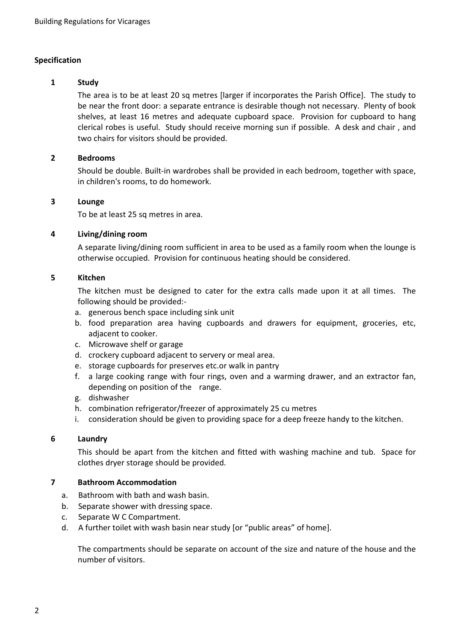#### **Specification**

#### **1 Study**

The area is to be at least 20 sq metres [larger if incorporates the Parish Office]. The study to be near the front door: a separate entrance is desirable though not necessary. Plenty of book shelves, at least 16 metres and adequate cupboard space. Provision for cupboard to hang clerical robes is useful. Study should receive morning sun if possible. A desk and chair , and two chairs for visitors should be provided.

#### **2 Bedrooms**

Should be double. Built-in wardrobes shall be provided in each bedroom, together with space, in children's rooms, to do homework.

#### **3 Lounge**

To be at least 25 sq metres in area.

#### **4 Living/dining room**

A separate living/dining room sufficient in area to be used as a family room when the lounge is otherwise occupied. Provision for continuous heating should be considered.

#### **5 Kitchen**

The kitchen must be designed to cater for the extra calls made upon it at all times. The following should be provided:-

- a. generous bench space including sink unit
- b. food preparation area having cupboards and drawers for equipment, groceries, etc, adjacent to cooker.
- c. Microwave shelf or garage
- d. crockery cupboard adjacent to servery or meal area.
- e. storage cupboards for preserves etc.or walk in pantry
- f. a large cooking range with four rings, oven and a warming drawer, and an extractor fan, depending on position of the range.
- g. dishwasher
- h. combination refrigerator/freezer of approximately 25 cu metres
- i. consideration should be given to providing space for a deep freeze handy to the kitchen.

#### **6 Laundry**

This should be apart from the kitchen and fitted with washing machine and tub. Space for clothes dryer storage should be provided.

#### **7 Bathroom Accommodation**

- a. Bathroom with bath and wash basin.
- b. Separate shower with dressing space.
- c. Separate W C Compartment.
- d. A further toilet with wash basin near study [or "public areas" of home].

The compartments should be separate on account of the size and nature of the house and the number of visitors.